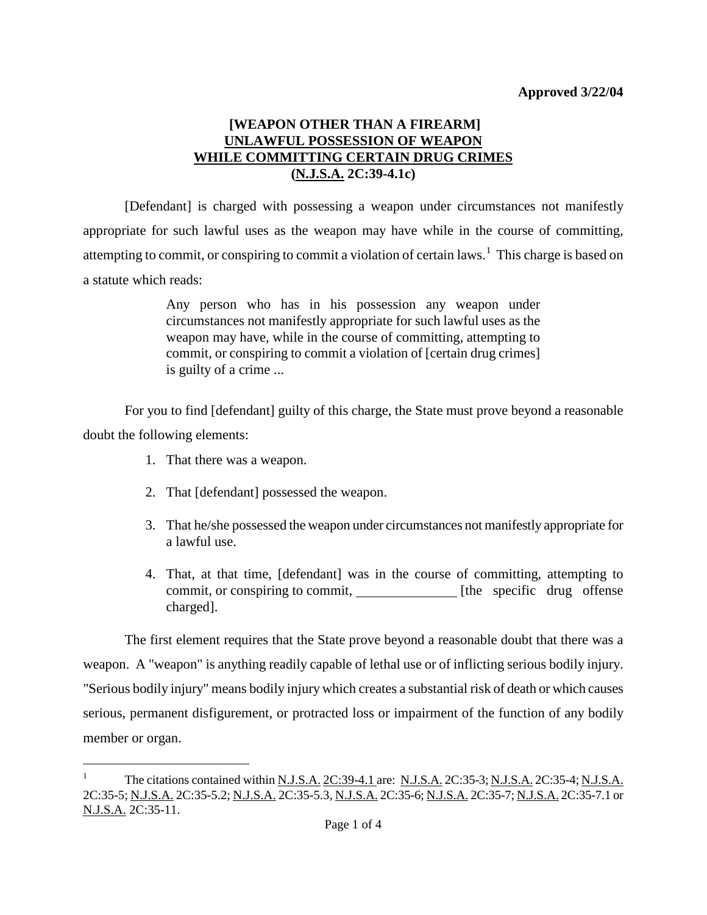## **[WEAPON OTHER THAN A FIREARM] UNLAWFUL POSSESSION OF WEAPON WHILE COMMITTING CERTAIN DRUG CRIMES (N.J.S.A. 2C:39-4.1c)**

[Defendant] is charged with possessing a weapon under circumstances not manifestly appropriate for such lawful uses as the weapon may have while in the course of committing, attempting to commit, or conspiring to commit a violation of certain laws.<sup>[1](#page-1-0)</sup> This charge is based on a statute which reads:

> Any person who has in his possession any weapon under circumstances not manifestly appropriate for such lawful uses as the weapon may have, while in the course of committing, attempting to commit, or conspiring to commit a violation of [certain drug crimes] is guilty of a crime ...

For you to find [defendant] guilty of this charge, the State must prove beyond a reasonable doubt the following elements:

1. That there was a weapon.

÷,

- 2. That [defendant] possessed the weapon.
- 3. That he/she possessed the weapon under circumstances not manifestly appropriate for a lawful use.
- 4. That, at that time, [defendant] was in the course of committing, attempting to commit, or conspiring to commit, [the specific drug offense] charged].

The first element requires that the State prove beyond a reasonable doubt that there was a weapon. A "weapon" is anything readily capable of lethal use or of inflicting serious bodily injury. "Serious bodily injury" means bodily injury which creates a substantial risk of death or which causes serious, permanent disfigurement, or protracted loss or impairment of the function of any bodily member or organ.

<sup>1</sup> The citations contained within N.J.S.A. 2C:39-4.1 are: N.J.S.A. 2C:35-3; N.J.S.A. 2C:35-4; N.J.S.A. 2C:35-5; N.J.S.A. 2C:35-5.2; N.J.S.A. 2C:35-5.3, N.J.S.A. 2C:35-6; N.J.S.A. 2C:35-7; N.J.S.A. 2C:35-7.1 or N.J.S.A. 2C:35-11.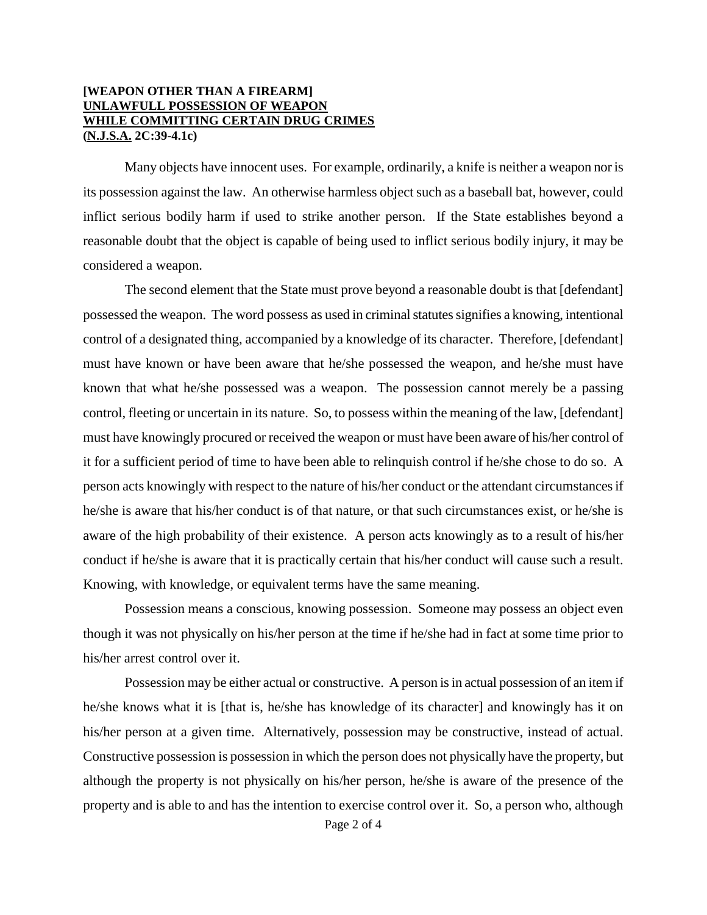#### **[WEAPON OTHER THAN A FIREARM] UNLAWFULL POSSESSION OF WEAPON WHILE COMMITTING CERTAIN DRUG CRIMES (N.J.S.A. 2C:39-4.1c)**

Many objects have innocent uses. For example, ordinarily, a knife is neither a weapon nor is its possession against the law. An otherwise harmless object such as a baseball bat, however, could inflict serious bodily harm if used to strike another person. If the State establishes beyond a reasonable doubt that the object is capable of being used to inflict serious bodily injury, it may be considered a weapon.

The second element that the State must prove beyond a reasonable doubt is that [defendant] possessed the weapon. The word possess as used in criminal statutes signifies a knowing, intentional control of a designated thing, accompanied by a knowledge of its character. Therefore, [defendant] must have known or have been aware that he/she possessed the weapon, and he/she must have known that what he/she possessed was a weapon. The possession cannot merely be a passing control, fleeting or uncertain in its nature. So, to possess within the meaning of the law, [defendant] must have knowingly procured or received the weapon or must have been aware of his/her control of it for a sufficient period of time to have been able to relinquish control if he/she chose to do so. A person acts knowingly with respect to the nature of his/her conduct or the attendant circumstances if he/she is aware that his/her conduct is of that nature, or that such circumstances exist, or he/she is aware of the high probability of their existence. A person acts knowingly as to a result of his/her conduct if he/she is aware that it is practically certain that his/her conduct will cause such a result. Knowing, with knowledge, or equivalent terms have the same meaning.

Possession means a conscious, knowing possession. Someone may possess an object even though it was not physically on his/her person at the time if he/she had in fact at some time prior to his/her arrest control over it.

<span id="page-1-0"></span>Possession may be either actual or constructive. A person is in actual possession of an item if he/she knows what it is [that is, he/she has knowledge of its character] and knowingly has it on his/her person at a given time. Alternatively, possession may be constructive, instead of actual. Constructive possession is possession in which the person does not physically have the property, but although the property is not physically on his/her person, he/she is aware of the presence of the property and is able to and has the intention to exercise control over it. So, a person who, although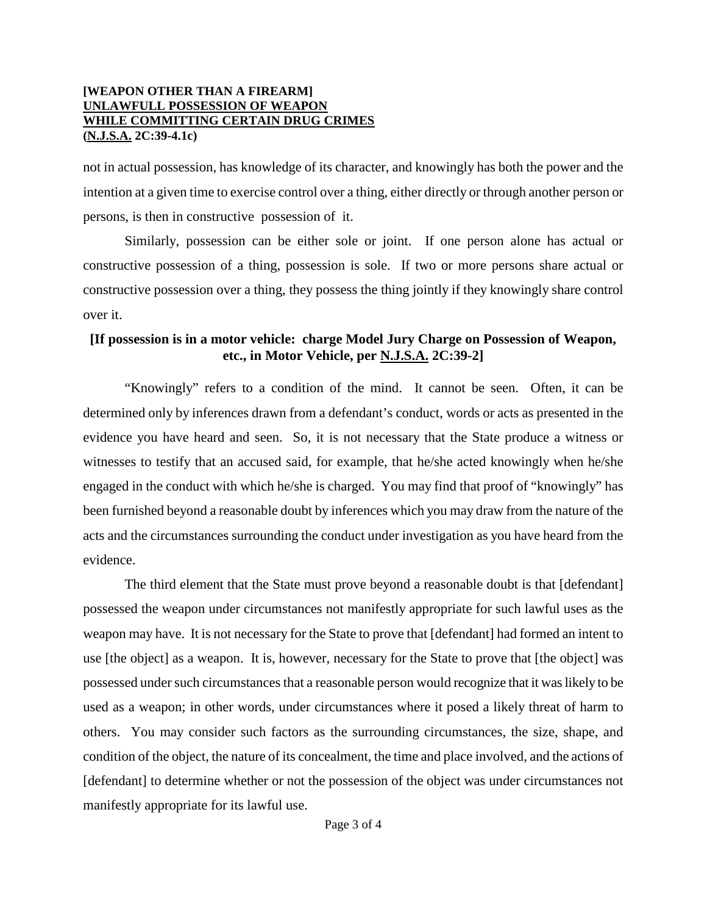#### **[WEAPON OTHER THAN A FIREARM] UNLAWFULL POSSESSION OF WEAPON WHILE COMMITTING CERTAIN DRUG CRIMES (N.J.S.A. 2C:39-4.1c)**

not in actual possession, has knowledge of its character, and knowingly has both the power and the intention at a given time to exercise control over a thing, either directly or through another person or persons, is then in constructive possession of it.

Similarly, possession can be either sole or joint. If one person alone has actual or constructive possession of a thing, possession is sole. If two or more persons share actual or constructive possession over a thing, they possess the thing jointly if they knowingly share control over it.

## **[If possession is in a motor vehicle: charge Model Jury Charge on Possession of Weapon, etc., in Motor Vehicle, per N.J.S.A. 2C:39-2]**

"Knowingly" refers to a condition of the mind. It cannot be seen. Often, it can be determined only by inferences drawn from a defendant's conduct, words or acts as presented in the evidence you have heard and seen. So, it is not necessary that the State produce a witness or witnesses to testify that an accused said, for example, that he/she acted knowingly when he/she engaged in the conduct with which he/she is charged. You may find that proof of "knowingly" has been furnished beyond a reasonable doubt by inferences which you may draw from the nature of the acts and the circumstances surrounding the conduct under investigation as you have heard from the evidence.

The third element that the State must prove beyond a reasonable doubt is that [defendant] possessed the weapon under circumstances not manifestly appropriate for such lawful uses as the weapon may have. It is not necessary for the State to prove that [defendant] had formed an intent to use [the object] as a weapon. It is, however, necessary for the State to prove that [the object] was possessed under such circumstances that a reasonable person would recognize that it was likely to be used as a weapon; in other words, under circumstances where it posed a likely threat of harm to others. You may consider such factors as the surrounding circumstances, the size, shape, and condition of the object, the nature of its concealment, the time and place involved, and the actions of [defendant] to determine whether or not the possession of the object was under circumstances not manifestly appropriate for its lawful use.